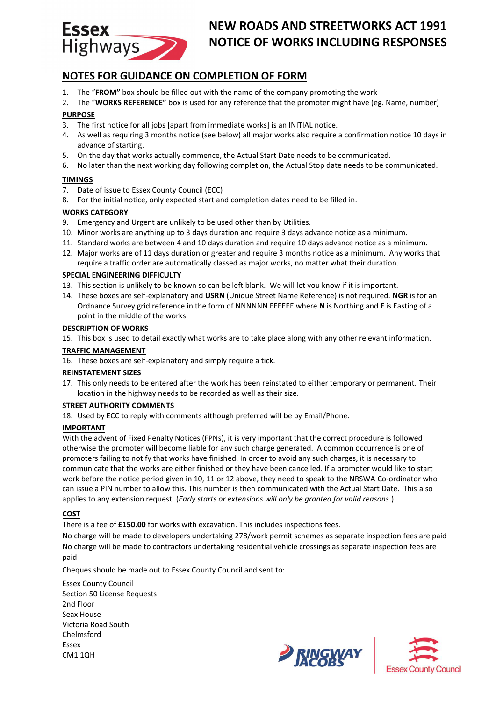

# **NEW ROADS AND STREETWORKS ACT 1991 NOTICE OF WORKS INCLUDING RESPONSES**

# **NOTES FOR GUIDANCE ON COMPLETION OF FORM**

- 1. The "**FROM"** box should be filled out with the name of the company promoting the work
- 2. The "**WORKS REFERENCE"** box is used for any reference that the promoter might have (eg. Name, number) **PURPOSE**
- 3. The first notice for all jobs [apart from immediate works] is an INITIAL notice.
- 4. As well as requiring 3 months notice (see below) all major works also require a confirmation notice 10 days in advance of starting.
- 5. On the day that works actually commence, the Actual Start Date needs to be communicated.
- 6. No later than the next working day following completion, the Actual Stop date needs to be communicated.

#### **TIMINGS**

- 7. Date of issue to Essex County Council (ECC)
- 8. For the initial notice, only expected start and completion dates need to be filled in.

#### **WORKS CATEGORY**

- 9. Emergency and Urgent are unlikely to be used other than by Utilities.
- 10. Minor works are anything up to 3 days duration and require 3 days advance notice as a minimum.
- 11. Standard works are between 4 and 10 days duration and require 10 days advance notice as a minimum.
- 12. Major works are of 11 days duration or greater and require 3 months notice as a minimum. Any works that require a traffic order are automatically classed as major works, no matter what their duration.

#### **SPECIAL ENGINEERING DIFFICULTY**

- 13. This section is unlikely to be known so can be left blank. We will let you know if it is important.
- 14. These boxes are self-explanatory and **USRN** (Unique Street Name Reference) is not required. **NGR** is for an Ordnance Survey grid reference in the form of NNNNNN EEEEEE where **N** is Northing and **E** is Easting of a point in the middle of the works.

#### **DESCRIPTION OF WORKS**

15. This box is used to detail exactly what works are to take place along with any other relevant information.

#### **TRAFFIC MANAGEMENT**

16. These boxes are self-explanatory and simply require a tick.

## **REINSTATEMENT SIZES**

17. This only needs to be entered after the work has been reinstated to either temporary or permanent. Their location in the highway needs to be recorded as well as their size.

#### **STREET AUTHORITY COMMENTS**

18. Used by ECC to reply with comments although preferred will be by Email/Phone.

## **IMPORTANT**

With the advent of Fixed Penalty Notices (FPNs), it is very important that the correct procedure is followed otherwise the promoter will become liable for any such charge generated. A common occurrence is one of promoters failing to notify that works have finished. In order to avoid any such charges, it is necessary to communicate that the works are either finished or they have been cancelled. If a promoter would like to start work before the notice period given in 10, 11 or 12 above, they need to speak to the NRSWA Co-ordinator who can issue a PIN number to allow this. This number is then communicated with the Actual Start Date. This also applies to any extension request. (*Early starts or extensions will only be granted for valid reasons*.)

## **COST**

There is a fee of **£150.00** for works with excavation. This includes inspections fees.

No charge will be made to developers undertaking 278/work permit schemes as separate inspection fees are paid No charge will be made to contractors undertaking residential vehicle crossings as separate inspection fees are paid

Cheques should be made out to Essex County Council and sent to:

Essex County Council Section 50 License Requests 2nd Floor Seax House Victoria Road South Chelmsford Essex CM1 1QH